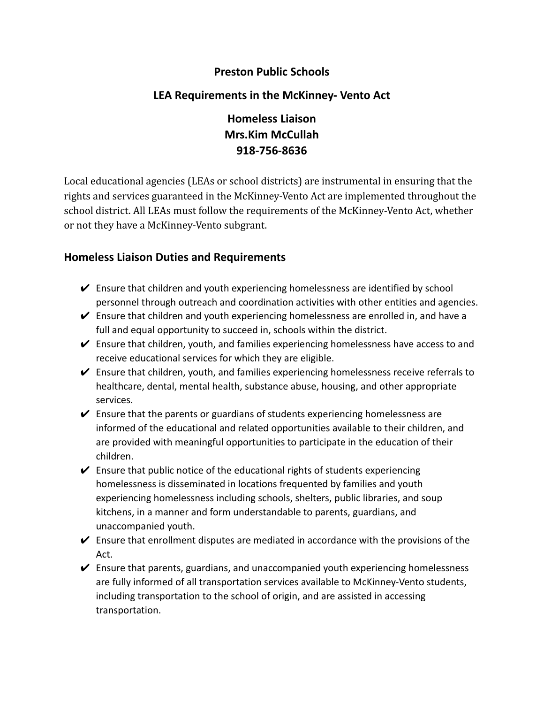## **Preston Public Schools**

## **LEA Requirements in the McKinney- Vento Act**

**Homeless Liaison Mrs.Kim McCullah 918-756-8636**

Local educational agencies (LEAs or school districts) are instrumental in ensuring that the rights and services guaranteed in the McKinney-Vento Act are implemented throughout the school district. All LEAs must follow the requirements of the McKinney-Vento Act, whether or not they have a McKinney-Vento subgrant.

## **Homeless Liaison Duties and Requirements**

- $\vee$  Ensure that children and youth experiencing homelessness are identified by school personnel through outreach and coordination activities with other entities and agencies.
- $\vee$  Ensure that children and youth experiencing homelessness are enrolled in, and have a full and equal opportunity to succeed in, schools within the district.
- $\vee$  Ensure that children, youth, and families experiencing homelessness have access to and receive educational services for which they are eligible.
- $\vee$  Ensure that children, youth, and families experiencing homelessness receive referrals to healthcare, dental, mental health, substance abuse, housing, and other appropriate services.
- $\vee$  Ensure that the parents or guardians of students experiencing homelessness are informed of the educational and related opportunities available to their children, and are provided with meaningful opportunities to participate in the education of their children.
- $\triangleright$  Ensure that public notice of the educational rights of students experiencing homelessness is disseminated in locations frequented by families and youth experiencing homelessness including schools, shelters, public libraries, and soup kitchens, in a manner and form understandable to parents, guardians, and unaccompanied youth.
- $\checkmark$  Ensure that enrollment disputes are mediated in accordance with the provisions of the Act.
- $\vee$  Ensure that parents, guardians, and unaccompanied youth experiencing homelessness are fully informed of all transportation services available to McKinney-Vento students, including transportation to the school of origin, and are assisted in accessing transportation.